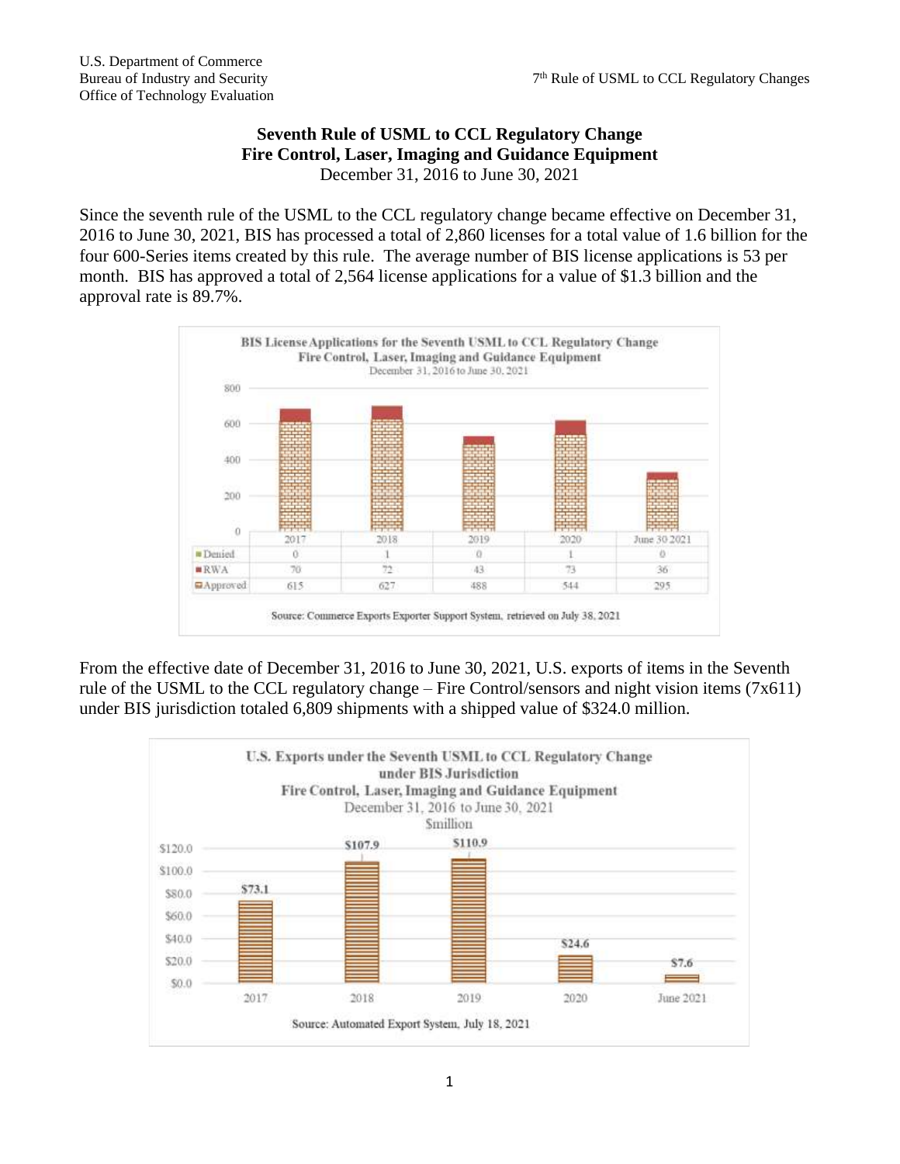## **Seventh Rule of USML to CCL Regulatory Change Fire Control, Laser, Imaging and Guidance Equipment** December 31, 2016 to June 30, 2021

Since the seventh rule of the USML to the CCL regulatory change became effective on December 31, 2016 to June 30, 2021, BIS has processed a total of 2,860 licenses for a total value of 1.6 billion for the four 600-Series items created by this rule. The average number of BIS license applications is 53 per month. BIS has approved a total of 2,564 license applications for a value of \$1.3 billion and the approval rate is 89.7%.



From the effective date of December 31, 2016 to June 30, 2021, U.S. exports of items in the Seventh rule of the USML to the CCL regulatory change – Fire Control/sensors and night vision items (7x611) under BIS jurisdiction totaled 6,809 shipments with a shipped value of \$324.0 million.

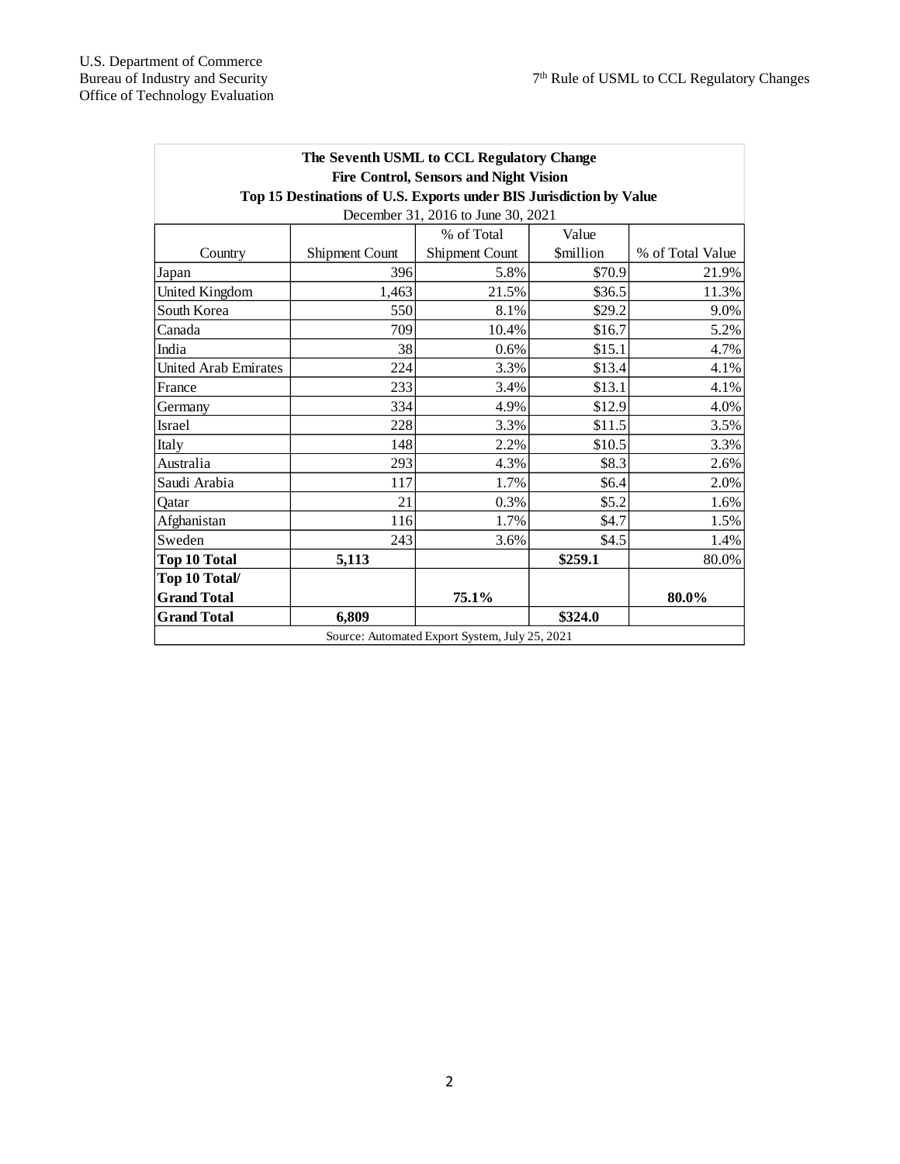| The Seventh USML to CCL Regulatory Change<br><b>Fire Control, Sensors and Night Vision</b> |                |                |                         |                  |
|--------------------------------------------------------------------------------------------|----------------|----------------|-------------------------|------------------|
| Top 15 Destinations of U.S. Exports under BIS Jurisdiction by Value                        |                |                |                         |                  |
| December 31, 2016 to June 30, 2021                                                         |                |                |                         |                  |
|                                                                                            |                | % of Total     | Value                   |                  |
| Country                                                                                    | Shipment Count | Shipment Count | <i><b>\$million</b></i> | % of Total Value |
| Japan                                                                                      | 396            | 5.8%           | \$70.9                  | 21.9%            |
| United Kingdom                                                                             | 1,463          | 21.5%          | \$36.5                  | 11.3%            |
| South Korea                                                                                | 550            | 8.1%           | \$29.2                  | 9.0%             |
| Canada                                                                                     | 709            | 10.4%          | \$16.7                  | 5.2%             |
| India                                                                                      | 38             | 0.6%           | \$15.1                  | 4.7%             |
| <b>United Arab Emirates</b>                                                                | 224            | 3.3%           | \$13.4                  | 4.1%             |
| France                                                                                     | 233            | 3.4%           | \$13.1                  | 4.1%             |
| Germany                                                                                    | 334            | 4.9%           | \$12.9                  | 4.0%             |
| Israel                                                                                     | 228            | 3.3%           | \$11.5                  | 3.5%             |
| Italy                                                                                      | 148            | 2.2%           | \$10.5                  | 3.3%             |
| Australia                                                                                  | 293            | 4.3%           | \$8.3                   | 2.6%             |
| Saudi Arabia                                                                               | 117            | 1.7%           | \$6.4                   | 2.0%             |
| Oatar                                                                                      | 21             | 0.3%           | \$5.2                   | 1.6%             |
| Afghanistan                                                                                | 116            | 1.7%           | \$4.7                   | 1.5%             |
| Sweden                                                                                     | 243            | 3.6%           | \$4.5                   | 1.4%             |
| <b>Top 10 Total</b>                                                                        | 5,113          |                | \$259.1                 | 80.0%            |
| Top 10 Total/                                                                              |                |                |                         |                  |
| <b>Grand Total</b>                                                                         |                | 75.1%          |                         | 80.0%            |
| <b>Grand Total</b>                                                                         | 6,809          |                | \$324.0                 |                  |
| Source: Automated Export System, July 25, 2021                                             |                |                |                         |                  |